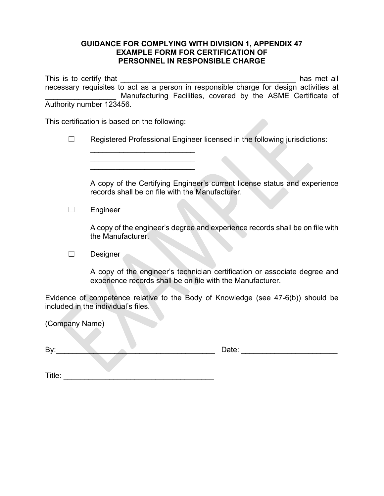## **GUIDANCE FOR COMPLYING WITH DIVISION 1, APPENDIX 47 EXAMPLE FORM FOR CERTIFICATION OF PERSONNEL IN RESPONSIBLE CHARGE**

This is to certify that **This is to certify that** necessary requisites to act as a person in responsible charge for design activities at Manufacturing Facilities, covered by the ASME Certificate of Authority number 123456.

This certification is based on the following:

\_\_\_\_\_\_\_\_\_\_\_\_\_\_\_\_\_\_\_\_\_\_\_\_\_ \_\_\_\_\_\_\_\_\_\_\_\_\_\_\_\_\_\_\_\_\_\_\_\_\_ \_\_\_\_\_\_\_\_\_\_\_\_\_\_\_\_\_\_\_\_\_\_\_\_\_

|  |  |  |  |  |  |  |  | Registered Professional Engineer licensed in the following jurisdictions: |
|--|--|--|--|--|--|--|--|---------------------------------------------------------------------------|
|--|--|--|--|--|--|--|--|---------------------------------------------------------------------------|

A copy of the Certifying Engineer's current license status and experience records shall be on file with the Manufacturer.

☐ Engineer

A copy of the engineer's degree and experience records shall be on file with the Manufacturer.

☐ Designer

A copy of the engineer's technician certification or associate degree and experience records shall be on file with the Manufacturer.

Evidence of competence relative to the Body of Knowledge (see 47-6(b)) should be included in the individual's files.

| (Company Name) |       |  |
|----------------|-------|--|
| By:            | Date: |  |
| Title:         |       |  |